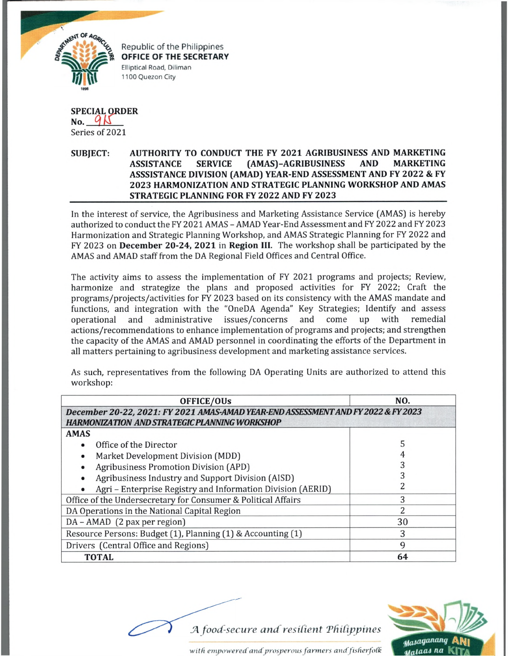

Republic of the Philippines **OFFICE OF THE SECRETARY** Elliptical Road, Diliman 1100 Quezon City

## **SPECIAL ORDER**<br>No. 9 Series of 2021

## **SUBJECT: AUTHORITY TO CONDUCT THE FY 2021 AGRIBUSINESS AND MARKETING ASSISTANCE SERVICE (AMAS)-AGRIBUSINESS AND MARKETING ASSSISTANCE DIVISION (AMAD) YEAR-END ASSESSMENT AND FY 2022 & FY 2023 HARMONIZATION AND STRATEGIC PLANNING WORKSHOP AND AMAS STRATEGIC PLANNING FOR FY 2022 AND FY 2023**

In the interest of service, the Agribusiness and Marketing Assistance Service (AMAS] is hereby authorized to conduct the FY 2021 AMAS - AMAD Year-End Assessment and FY 2022 and FY 2023 Harmonization and Strategic Planning Workshop, and AMAS Strategic Planning for FY 2022 and FY 2023 on **December 20-24, 2021** in **Region III.** The workshop shall be participated by the AMAS and AMAD staff from the DA Regional Field Offices and Central Office.

The activity aims to assess the implementation of FY 2021 programs and projects; Review, harmonize and strategize the plans and proposed activities for FY 2022; Craft the programs/projects/activities for FY 2023 based on its consistency with the AMAS mandate and functions, and integration with the "OneDA Agenda" Key Strategies; Identify and assess operational and administrative issues/concerns and come up with remedial actions/recommendations to enhance implementation of programs and projects; and strengthen the capacity of the AMAS and AMAD personnel in coordinating the efforts of the Department in all matters pertaining to agribusiness development and marketing assistance services.

As such, representatives from the following DA Operating Units are authorized to attend this workshop:

| <b>OFFICE/OUs</b>                                                                                                                         | NO. |
|-------------------------------------------------------------------------------------------------------------------------------------------|-----|
| December 20-22, 2021: FY 2021 AMAS-AMAD YEAR-END ASSESSMENT AND FY 2022 & FY 2023<br><b>HARMONIZATION AND STRATEGIC PLANNING WORKSHOP</b> |     |
| <b>AMAS</b>                                                                                                                               |     |
| Office of the Director                                                                                                                    | 5   |
| Market Development Division (MDD)                                                                                                         |     |
| <b>Agribusiness Promotion Division (APD)</b>                                                                                              |     |
| Agribusiness Industry and Support Division (AISD)                                                                                         |     |
| Agri - Enterprise Registry and Information Division (AERID)                                                                               |     |
| Office of the Undersecretary for Consumer & Political Affairs                                                                             | 3   |
| DA Operations in the National Capital Region                                                                                              | 2   |
| DA - AMAD (2 pax per region)                                                                                                              | 30  |
| Resource Persons: Budget (1), Planning (1) & Accounting (1)                                                                               | 3   |
| Drivers (Central Office and Regions)                                                                                                      | 9   |
| <b>TOTAL</b>                                                                                                                              | 64  |



*wit ft empowered' andprosperous farmers and fisderfoCk*